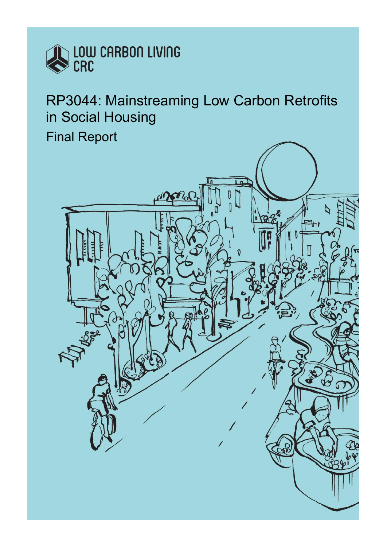

RP3044: Mainstreaming Low Carbon Retrofits in Social Housing

Final Report

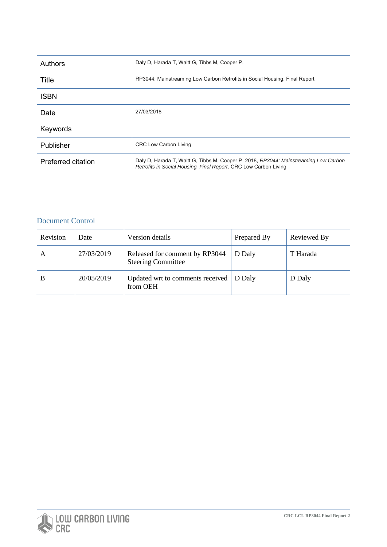| <b>Authors</b>     | Daly D. Harada T. Waitt G. Tibbs M. Cooper P.                                                                                                            |  |  |  |
|--------------------|----------------------------------------------------------------------------------------------------------------------------------------------------------|--|--|--|
| Title              | RP3044: Mainstreaming Low Carbon Retrofits in Social Housing. Final Report                                                                               |  |  |  |
| <b>ISBN</b>        |                                                                                                                                                          |  |  |  |
| Date               | 27/03/2018                                                                                                                                               |  |  |  |
| Keywords           |                                                                                                                                                          |  |  |  |
| Publisher          | <b>CRC Low Carbon Living</b>                                                                                                                             |  |  |  |
| Preferred citation | Daly D. Harada T. Waitt G. Tibbs M. Cooper P. 2018, RP3044: Mainstreaming Low Carbon<br>Retrofits in Social Housing. Final Report, CRC Low Carbon Living |  |  |  |

## Document Control

| Revision     | Date       | Version details                                             | Prepared By | Reviewed By |
|--------------|------------|-------------------------------------------------------------|-------------|-------------|
| $\mathsf{A}$ | 27/03/2019 | Released for comment by RP3044<br><b>Steering Committee</b> | D Daly      | T Harada    |
| B            | 20/05/2019 | Updated wrt to comments received<br>from OEH                | D Dalv      | D Daly      |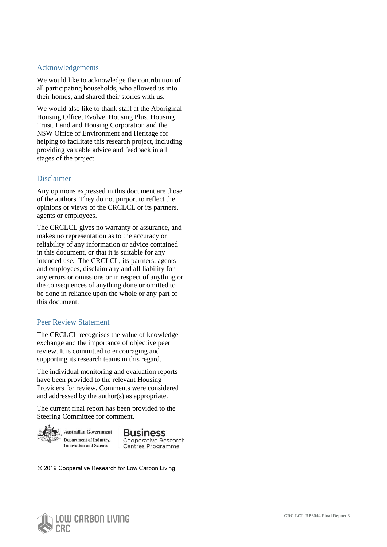### Acknowledgements

We would like to acknowledge the contribution of all participating households, who allowed us into their homes, and shared their stories with us.

We would also like to thank staff at the Aboriginal Housing Office, Evolve, Housing Plus, Housing Trust, Land and Housing Corporation and the NSW Office of Environment and Heritage for helping to facilitate this research project, including providing valuable advice and feedback in all stages of the project.

## Disclaimer

Any opinions expressed in this document are those of the authors. They do not purport to reflect the opinions or views of the CRCLCL or its partners, agents or employees.

The CRCLCL gives no warranty or assurance, and makes no representation as to the accuracy or reliability of any information or advice contained in this document, or that it is suitable for any intended use. The CRCLCL, its partners, agents and employees, disclaim any and all liability for any errors or omissions or in respect of anything or the consequences of anything done or omitted to be done in reliance upon the whole or any part of this document.

## Peer Review Statement

The CRCLCL recognises the value of knowledge exchange and the importance of objective peer review. It is committed to encouraging and supporting its research teams in this regard.

The individual monitoring and evaluation reports have been provided to the relevant Housing Providers for review. Comments were considered and addressed by the author(s) as appropriate.

The current final report has been provided to the Steering Committee for comment.



**Australian Government** Department of Industry, **Innovation and Science** 

**Business** Cooperative Research Centres Programme

© 2019 Cooperative Research for Low Carbon Living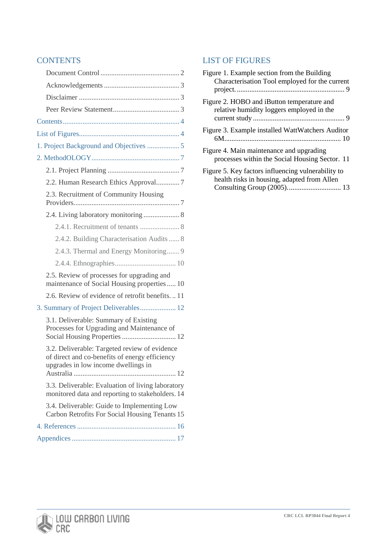# **CONTENTS**

| 2.2. Human Research Ethics Approval7                                                                                                   |
|----------------------------------------------------------------------------------------------------------------------------------------|
| 2.3. Recruitment of Community Housing                                                                                                  |
| 2.4. Living laboratory monitoring  8                                                                                                   |
|                                                                                                                                        |
| 2.4.2. Building Characterisation Audits  8                                                                                             |
| 2.4.3. Thermal and Energy Monitoring 9                                                                                                 |
|                                                                                                                                        |
| 2.5. Review of processes for upgrading and<br>maintenance of Social Housing properties 10                                              |
| 2.6. Review of evidence of retrofit benefits11                                                                                         |
| 3. Summary of Project Deliverables 12                                                                                                  |
| 3.1. Deliverable: Summary of Existing<br>Processes for Upgrading and Maintenance of<br>Social Housing Properties  12                   |
| 3.2. Deliverable: Targeted review of evidence<br>of direct and co-benefits of energy efficiency<br>upgrades in low income dwellings in |
| 3.3. Deliverable: Evaluation of living laboratory<br>monitored data and reporting to stakeholders. 14                                  |
| 3.4. Deliverable: Guide to Implementing Low<br>Carbon Retrofits For Social Housing Tenants 15                                          |
|                                                                                                                                        |
|                                                                                                                                        |

# LIST OF FIGURES

| Figure 1. Example section from the Building        |
|----------------------------------------------------|
| Characterisation Tool employed for the current     |
|                                                    |
| Figure 2. HOBO and iButton temperature and         |
| relative humidity loggers employed in the          |
|                                                    |
| Figure 3. Example installed WattWatchers Auditor   |
|                                                    |
| Figure 4. Main maintenance and upgrading           |
| processes within the Social Housing Sector. 11     |
| Figure 5. Key factors influencing vulnerability to |
| health risks in housing, adapted from Allen        |
|                                                    |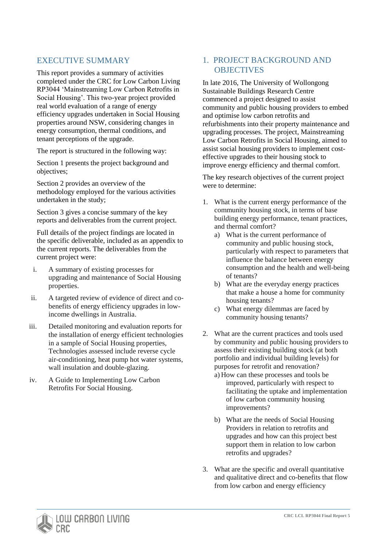# <span id="page-4-0"></span>EXECUTIVE SUMMARY

This report provides a summary of activities completed under the CRC for Low Carbon Living RP3044 'Mainstreaming Low Carbon Retrofits in Social Housing'. This two-year project provided real world evaluation of a range of energy efficiency upgrades undertaken in Social Housing properties around NSW, considering changes in energy consumption, thermal conditions, and tenant perceptions of the upgrade.

The report is structured in the following way:

Section 1 presents the project background and objectives;

Section 2 provides an overview of the methodology employed for the various activities undertaken in the study;

Section 3 gives a concise summary of the key reports and deliverables from the current project.

Full details of the project findings are located in the specific deliverable, included as an appendix to the current reports. The deliverables from the current project were:

- i. A summary of existing processes for upgrading and maintenance of Social Housing properties.
- ii. A targeted review of evidence of direct and cobenefits of energy efficiency upgrades in lowincome dwellings in Australia.
- iii. Detailed monitoring and evaluation reports for the installation of energy efficient technologies in a sample of Social Housing properties, Technologies assessed include reverse cycle air-conditioning, heat pump hot water systems, wall insulation and double-glazing.
- iv. A Guide to Implementing Low Carbon Retrofits For Social Housing.

# 1. PROJECT BACKGROUND AND **OBJECTIVES**

In late 2016, The University of Wollongong Sustainable Buildings Research Centre commenced a project designed to assist community and public housing providers to embed and optimise low carbon retrofits and refurbishments into their property maintenance and upgrading processes. The project, Mainstreaming Low Carbon Retrofits in Social Housing, aimed to assist social housing providers to implement costeffective upgrades to their housing stock to improve energy efficiency and thermal comfort.

The key research objectives of the current project were to determine:

- 1. What is the current energy performance of the community housing stock, in terms of base building energy performance, tenant practices, and thermal comfort?
	- a) What is the current performance of community and public housing stock, particularly with respect to parameters that influence the balance between energy consumption and the health and well-being of tenants?
	- b) What are the everyday energy practices that make a house a home for community housing tenants?
	- c) What energy dilemmas are faced by community housing tenants?
- 2. What are the current practices and tools used by community and public housing providers to assess their existing building stock (at both portfolio and individual building levels) for purposes for retrofit and renovation?
	- a) How can these processes and tools be improved, particularly with respect to facilitating the uptake and implementation of low carbon community housing improvements?
	- b) What are the needs of Social Housing Providers in relation to retrofits and upgrades and how can this project best support them in relation to low carbon retrofits and upgrades?
- 3. What are the specific and overall quantitative and qualitative direct and co-benefits that flow from low carbon and energy efficiency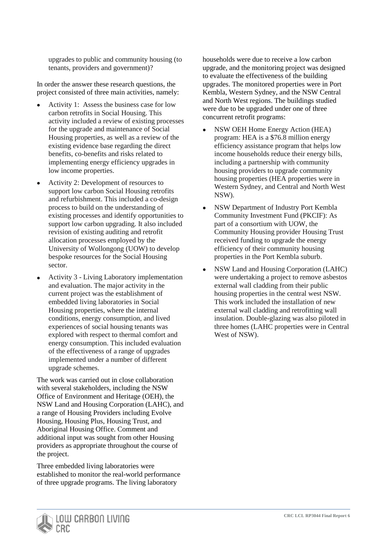upgrades to public and community housing (to tenants, providers and government)?

In order the answer these research questions, the project consisted of three main activities, namely:

- Activity 1: Assess the business case for low carbon retrofits in Social Housing. This activity included a review of existing processes for the upgrade and maintenance of Social Housing properties, as well as a review of the existing evidence base regarding the direct benefits, co-benefits and risks related to implementing energy efficiency upgrades in low income properties.
- Activity 2: Development of resources to support low carbon Social Housing retrofits and refurbishment. This included a co-design process to build on the understanding of existing processes and identify opportunities to support low carbon upgrading. It also included revision of existing auditing and retrofit allocation processes employed by the University of Wollongong (UOW) to develop bespoke resources for the Social Housing sector.
- Activity 3 Living Laboratory implementation and evaluation. The major activity in the current project was the establishment of embedded living laboratories in Social Housing properties, where the internal conditions, energy consumption, and lived experiences of social housing tenants was explored with respect to thermal comfort and energy consumption. This included evaluation of the effectiveness of a range of upgrades implemented under a number of different upgrade schemes.

The work was carried out in close collaboration with several stakeholders, including the NSW Office of Environment and Heritage (OEH), the NSW Land and Housing Corporation (LAHC), and a range of Housing Providers including Evolve Housing, Housing Plus, Housing Trust, and Aboriginal Housing Office. Comment and additional input was sought from other Housing providers as appropriate throughout the course of the project.

Three embedded living laboratories were established to monitor the real-world performance of three upgrade programs. The living laboratory

households were due to receive a low carbon upgrade, and the monitoring project was designed to evaluate the effectiveness of the building upgrades. The monitored properties were in Port Kembla, Western Sydney, and the NSW Central and North West regions. The buildings studied were due to be upgraded under one of three concurrent retrofit programs:

- NSW OEH Home Energy Action (HEA) program: HEA is a \$76.8 million energy efficiency assistance program that helps low income households reduce their energy bills, including a partnership with community housing providers to upgrade community housing properties (HEA properties were in Western Sydney, and Central and North West NSW).
- NSW Department of Industry Port Kembla Community Investment Fund (PKCIF): As part of a consortium with UOW, the Community Housing provider Housing Trust received funding to upgrade the energy efficiency of their community housing properties in the Port Kembla suburb.
- NSW Land and Housing Corporation (LAHC) were undertaking a project to remove asbestos external wall cladding from their public housing properties in the central west NSW. This work included the installation of new external wall cladding and retrofitting wall insulation. Double-glazing was also piloted in three homes (LAHC properties were in Central West of NSW).

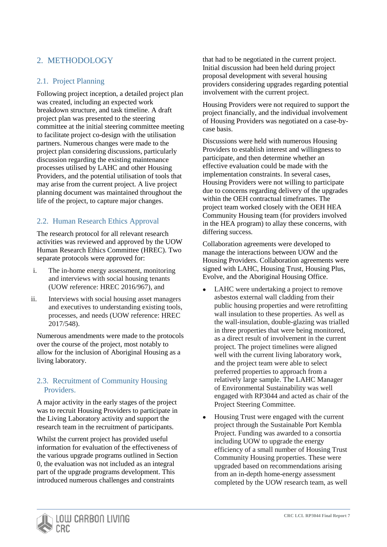# 2. METHODOLOGY

## 2.1. Project Planning

Following project inception, a detailed project plan was created, including an expected work breakdown structure, and task timeline. A draft project plan was presented to the steering committee at the initial steering committee meeting to facilitate project co-design with the utilisation partners. Numerous changes were made to the project plan considering discussions, particularly discussion regarding the existing maintenance processes utilised by LAHC and other Housing Providers, and the potential utilisation of tools that may arise from the current project. A live project planning document was maintained throughout the life of the project, to capture major changes.

# 2.2. Human Research Ethics Approval

The research protocol for all relevant research activities was reviewed and approved by the UOW Human Research Ethics Committee (HREC). Two separate protocols were approved for:

- i. The in-home energy assessment, monitoring and interviews with social housing tenants (UOW reference: HREC 2016/967), and
- ii. Interviews with social housing asset managers and executives to understanding existing tools, processes, and needs (UOW reference: HREC 2017/548).

Numerous amendments were made to the protocols over the course of the project, most notably to allow for the inclusion of Aboriginal Housing as a living laboratory.

## 2.3. Recruitment of Community Housing Providers.

A major activity in the early stages of the project was to recruit Housing Providers to participate in the Living Laboratory activity and support the research team in the recruitment of participants.

Whilst the current project has provided useful information for evaluation of the effectiveness of the various upgrade programs outlined in Section [0,](#page-4-0) the evaluation was not included as an integral part of the upgrade programs development. This introduced numerous challenges and constraints

that had to be negotiated in the current project. Initial discussion had been held during project proposal development with several housing providers considering upgrades regarding potential involvement with the current project.

Housing Providers were not required to support the project financially, and the individual involvement of Housing Providers was negotiated on a case-bycase basis.

Discussions were held with numerous Housing Providers to establish interest and willingness to participate, and then determine whether an effective evaluation could be made with the implementation constraints. In several cases, Housing Providers were not willing to participate due to concerns regarding delivery of the upgrades within the OEH contractual timeframes. The project team worked closely with the OEH HEA Community Housing team (for providers involved in the HEA program) to allay these concerns, with differing success.

Collaboration agreements were developed to manage the interactions between UOW and the Housing Providers. Collaboration agreements were signed with LAHC, Housing Trust, Housing Plus, Evolve, and the Aboriginal Housing Office.

- LAHC were undertaking a project to remove asbestos external wall cladding from their public housing properties and were retrofitting wall insulation to these properties. As well as the wall-insulation, double-glazing was trialled in three properties that were being monitored, as a direct result of involvement in the current project. The project timelines were aligned well with the current living laboratory work, and the project team were able to select preferred properties to approach from a relatively large sample. The LAHC Manager of Environmental Sustainability was well engaged with RP3044 and acted as chair of the Project Steering Committee.
- Housing Trust were engaged with the current project through the Sustainable Port Kembla Project. Funding was awarded to a consortia including UOW to upgrade the energy efficiency of a small number of Housing Trust Community Housing properties. These were upgraded based on recommendations arising from an in-depth home-energy assessment completed by the UOW research team, as well

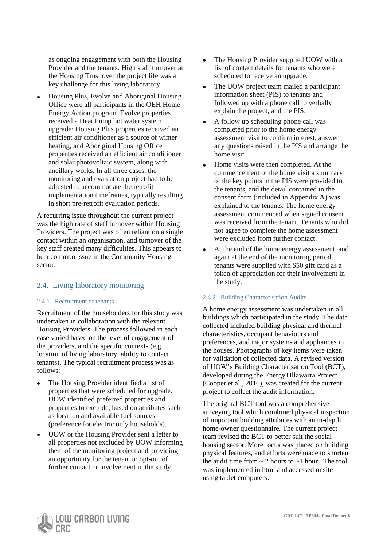as ongoing engagement with both the Housing Provider and the tenants. High staff turnover at the Housing Trust over the project life was a key challenge for this living laboratory.

 Housing Plus, Evolve and Aboriginal Housing Office were all participants in the OEH Home Energy Action program. Evolve properties received a Heat Pump hot water system upgrade; Housing Plus properties received an efficient air conditioner as a source of winter heating, and Aboriginal Housing Office properties received an efficient air conditioner and solar photovoltaic system, along with ancillary works. In all three cases, the monitoring and evaluation project had to be adjusted to accommodate the retrofit implementation timeframes, typically resulting in short pre-retrofit evaluation periods.

A recurring issue throughout the current project was the high rate of staff turnover within Housing Providers. The project was often reliant on a single contact within an organisation, and turnover of the key staff created many difficulties. This appears to be a common issue in the Community Housing sector.

## 2.4. Living laboratory monitoring

#### 2.4.1. Recruitment of tenants

Recruitment of the householders for this study was undertaken in collaboration with the relevant Housing Providers. The process followed in each case varied based on the level of engagement of the providers, and the specific contexts (e.g. location of living laboratory, ability to contact tenants). The typical recruitment process was as follows:

- The Housing Provider identified a list of properties that were scheduled for upgrade. UOW identified preferred properties and properties to exclude, based on attributes such as location and available fuel sources (preference for electric only households).
- UOW or the Housing Provider sent a letter to all properties not excluded by UOW informing them of the monitoring project and providing an opportunity for the tenant to opt-out of further contact or involvement in the study.
- The Housing Provider supplied UOW with a list of contact details for tenants who were scheduled to receive an upgrade.
- The UOW project team mailed a participant information sheet (PIS) to tenants and followed up with a phone call to verbally explain the project, and the PIS.
- A follow up scheduling phone call was completed prior to the home energy assessment visit to confirm interest, answer any questions raised in the PIS and arrange the home visit.
- Home visits were then completed. At the commencement of the home visit a summary of the key points in the PIS were provided to the tenants, and the detail contained in the consent form (included in Appendix A) was explained to the tenants. The home energy assessment commenced when signed consent was received from the tenant. Tenants who did not agree to complete the home assessment were excluded from further contact.
- At the end of the home energy assessment, and again at the end of the monitoring period, tenants were supplied with \$50 gift card as a token of appreciation for their involvement in the study.

#### 2.4.2. Building Characterisation Audits

A home energy assessment was undertaken in all buildings which participated in the study. The data collected included building physical and thermal characteristics, occupant behaviours and preferences, and major systems and appliances in the houses. Photographs of key items were taken for validation of collected data. A revised version of UOW's Building Characterisation Tool (BCT), developed during the Energy+Illawarra Project (Cooper et al., 2016), was created for the current project to collect the audit information.

The original BCT tool was a comprehensive surveying tool which combined physical inspection of important building attributes with an in-depth home-owner questionnaire. The current project team revised the BCT to better suit the social housing sector. More focus was placed on building physical features, and efforts were made to shorten the audit time from  $\sim$  2 hours to  $\sim$  1 hour. The tool was implemented in html and accessed onsite using tablet computers.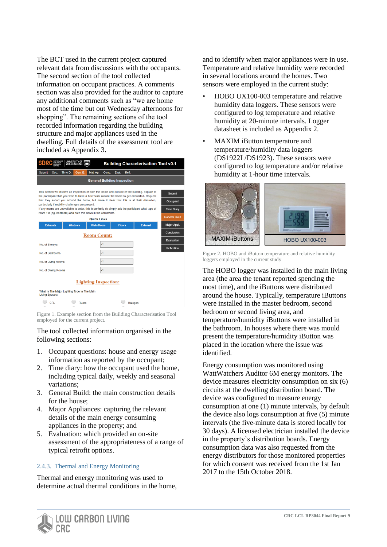The BCT used in the current project captured relevant data from discussions with the occupants. The second section of the tool collected information on occupant practices. A comments section was also provided for the auditor to capture any additional comments such as "we are home most of the time but out Wednesday afternoons for shopping". The remaining sections of the tool recorded information regarding the building structure and major appliances used in the dwelling. Full details of the assessment tool are included as Appendix 3.

| SUSTAINABLE<br>BUILDINGS<br>RESEARCH<br><b>UNIVERSITY OF</b><br>合资金<br><b>SBRC</b><br><b>Building Characterisation Tool v0.1</b><br>WOLLONGONG                                           |                                            |         |                                             |                    |       |               |          |                 |                   |
|------------------------------------------------------------------------------------------------------------------------------------------------------------------------------------------|--------------------------------------------|---------|---------------------------------------------|--------------------|-------|---------------|----------|-----------------|-------------------|
| <b>Submit</b>                                                                                                                                                                            | Occ.                                       | Time D. | Gen. B.                                     | Maj. Ap.           | Conc. | Eval.         | Refl.    |                 |                   |
|                                                                                                                                                                                          | <b>General Building Inspection</b>         |         |                                             |                    |       |               |          |                 |                   |
| This section will involve an inspection of both the inside and outside of the building. Explain to                                                                                       |                                            |         |                                             |                    |       |               |          |                 |                   |
| the participant that you wish to have a brief walk around the home to get orientated. Request                                                                                            |                                            |         |                                             |                    |       | <b>Submit</b> |          |                 |                   |
| that they escort you around the home, but make it clear that this is at their discretion,<br>particularly if mobility challenges are present.                                            |                                            |         |                                             |                    |       |               | Occupant |                 |                   |
| If any rooms are unavailable to enter, this is perfectly ok simply ask the participant what type of<br><b>Time Diary</b><br>room it is (eg. bedroom) and note this down in the comments. |                                            |         |                                             |                    |       |               |          |                 |                   |
|                                                                                                                                                                                          | <b>General Build</b><br><b>Quick Links</b> |         |                                             |                    |       |               |          |                 |                   |
|                                                                                                                                                                                          | <b>Exhausts</b>                            |         | <b>Windows</b>                              | <b>Walls/Doors</b> |       | <b>Floors</b> |          | <b>External</b> | Major Appl.       |
| Conclusion<br><b>Room Count:</b>                                                                                                                                                         |                                            |         |                                             |                    |       |               |          |                 |                   |
|                                                                                                                                                                                          |                                            |         |                                             |                    |       | Evaluation    |          |                 |                   |
| No. of Storeys:                                                                                                                                                                          |                                            |         |                                             |                    | $-1$  |               |          |                 | <b>Reflection</b> |
| No. of Bedrooms:                                                                                                                                                                         |                                            |         |                                             | $-1$               |       |               |          |                 |                   |
| $-1$<br>No. of Living Rooms                                                                                                                                                              |                                            |         |                                             |                    |       |               |          |                 |                   |
| $-1$<br>No. of Dining Rooms                                                                                                                                                              |                                            |         |                                             |                    |       |               |          |                 |                   |
|                                                                                                                                                                                          |                                            |         |                                             |                    |       |               |          |                 |                   |
| <b>Lighting Inspection:</b>                                                                                                                                                              |                                            |         |                                             |                    |       |               |          |                 |                   |
| <b>Living Spaces:</b>                                                                                                                                                                    |                                            |         | What Is The Major Lighting Type In The Main |                    |       |               |          |                 |                   |
| CFL<br>Fluoro<br>Halogen                                                                                                                                                                 |                                            |         |                                             |                    |       |               |          |                 |                   |

Figure 1. Example section from the Building Characterisation Tool employed for the current project.

The tool collected information organised in the following sections:

- 1. Occupant questions: house and energy usage information as reported by the occupant;
- 2. Time diary: how the occupant used the home, including typical daily, weekly and seasonal variations;
- 3. General Build: the main construction details for the house;
- 4. Major Appliances: capturing the relevant details of the main energy consuming appliances in the property; and
- 5. Evaluation: which provided an on-site assessment of the appropriateness of a range of typical retrofit options.

#### 2.4.3. Thermal and Energy Monitoring

Thermal and energy monitoring was used to determine actual thermal conditions in the home, and to identify when major appliances were in use. Temperature and relative humidity were recorded in several locations around the homes. Two sensors were employed in the current study:

- HOBO UX100-003 temperature and relative humidity data loggers. These sensors were configured to log temperature and relative humidity at 20-minute intervals. Logger datasheet is included as Appendix 2.
- MAXIM iButton temperature and temperature/humidity data loggers (DS1922L/DS1923). These sensors were configured to log temperature and/or relative humidity at 1-hour time intervals.



Figure 2. HOBO and iButton temperature and relative humidity loggers employed in the current study

The HOBO logger was installed in the main living area (the area the tenant reported spending the most time), and the iButtons were distributed around the house. Typically, temperature iButtons were installed in the master bedroom, second bedroom or second living area, and temperature/humidity iButtons were installed in the bathroom. In houses where there was mould present the temperature/humidity iButton was placed in the location where the issue was identified.

Energy consumption was monitored using WattWatchers Auditor 6M energy monitors. The device measures electricity consumption on six (6) circuits at the dwelling distribution board. The device was configured to measure energy consumption at one (1) minute intervals, by default the device also logs consumption at five (5) minute intervals (the five-minute data is stored locally for 30 days). A licensed electrician installed the device in the property's distribution boards. Energy consumption data was also requested from the energy distributors for those monitored properties for which consent was received from the 1st Jan 2017 to the 15th October 2018.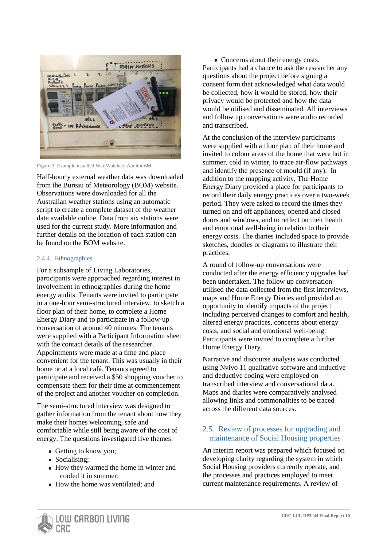

Figure 3. Example installed WattWatchers Auditor 6M

Half-hourly external weather data was downloaded from the Bureau of Meteorology (BOM) website. Observations were downloaded for all the Australian weather stations using an automatic script to create a complete dataset of the weather data available online. Data from six stations were used for the current study. More information and further details on the location of each station can be found on the BOM website.

#### 2.4.4. Ethnographies

For a subsample of Living Laboratories, participants were approached regarding interest in involvement in ethnographies during the home energy audits. Tenants were invited to participate in a one-hour semi-structured interview, to sketch a floor plan of their home, to complete a Home Energy Diary and to participate in a follow-up conversation of around 40 minutes. The tenants were supplied with a Participant Information sheet with the contact details of the researcher. Appointments were made at a time and place convenient for the tenant. This was usually in their home or at a local café. Tenants agreed to participate and received a \$50 shopping voucher to compensate them for their time at commencement of the project and another voucher on completion.

The semi-structured interview was designed to gather information from the tenant about how they make their homes welcoming, safe and comfortable while still being aware of the cost of energy. The questions investigated five themes:

- Getting to know you;
- Socialising;
- How they warmed the home in winter and cooled it in summer;
- How the home was ventilated; and

• Concerns about their energy costs. Participants had a chance to ask the researcher any questions about the project before signing a consent form that acknowledged what data would be collected, how it would be stored, how their privacy would be protected and how the data would be utilised and disseminated. All interviews and follow up conversations were audio recorded and transcribed.

At the conclusion of the interview participants were supplied with a floor plan of their home and invited to colour areas of the home that were hot in summer, cold in winter, to trace air-flow pathways and identify the presence of mould (if any). In addition to the mapping activity, The Home Energy Diary provided a place for participants to record their daily energy practices over a two-week period. They were asked to record the times they turned on and off appliances, opened and closed doors and windows, and to reflect on their health and emotional well-being in relation to their energy costs. The diaries included space to provide sketches, doodles or diagrams to illustrate their practices.

A round of follow-up conversations were conducted after the energy efficiency upgrades had been undertaken. The follow up conversation utilised the data collected from the first interviews, maps and Home Energy Diaries and provided an opportunity to identify impacts of the project including perceived changes to comfort and health, altered energy practices, concerns about energy costs, and social and emotional well-being. Participants were invited to complete a further Home Energy Diary.

Narrative and discourse analysis was conducted using Nvivo 11 qualitative software and inductive and deductive coding were employed on transcribed interview and conversational data. Maps and diaries were comparatively analysed allowing links and commonalities to be traced across the different data sources.

## 2.5. Review of processes for upgrading and maintenance of Social Housing properties

An interim report was prepared which focused on developing clarity regarding the system in which Social Housing providers currently operate, and the processes and practices employed to meet current maintenance requirements. A review of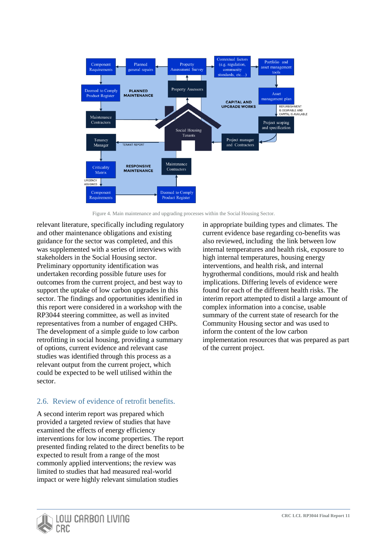

<span id="page-10-0"></span>Figure 4. Main maintenance and upgrading processes within the Social Housing Sector.

relevant literature, specifically including regulatory and other maintenance obligations and existing guidance for the sector was completed, and this was supplemented with a series of interviews with stakeholders in the Social Housing sector. Preliminary opportunity identification was undertaken recording possible future uses for outcomes from the current project, and best way to support the uptake of low carbon upgrades in this sector. The findings and opportunities identified in this report were considered in a workshop with the RP3044 steering committee, as well as invited representatives from a number of engaged CHPs. The development of a simple guide to low carbon retrofitting in social housing, providing a summary of options, current evidence and relevant case studies was identified through this process as a relevant output from the current project, which could be expected to be well utilised within the sector.

# 2.6. Review of evidence of retrofit benefits.

A second interim report was prepared which provided a targeted review of studies that have examined the effects of energy efficiency interventions for low income properties. The report presented finding related to the direct benefits to be expected to result from a range of the most commonly applied interventions; the review was limited to studies that had measured real-world impact or were highly relevant simulation studies

in appropriate building types and climates. The current evidence base regarding co-benefits was also reviewed, including the link between low internal temperatures and health risk, exposure to high internal temperatures, housing energy interventions, and health risk, and internal hygrothermal conditions, mould risk and health implications. Differing levels of evidence were found for each of the different health risks. The interim report attempted to distil a large amount of complex information into a concise, usable summary of the current state of research for the Community Housing sector and was used to inform the content of the low carbon implementation resources that was prepared as part of the current project.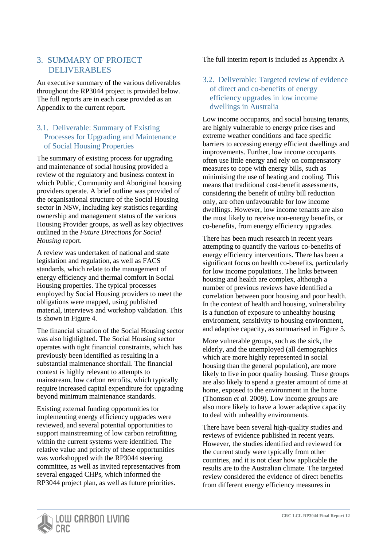# 3. SUMMARY OF PROJECT DELIVERABLES

An executive summary of the various deliverables throughout the RP3044 project is provided below. The full reports are in each case provided as an Appendix to the current report.

## 3.1. Deliverable: Summary of Existing Processes for Upgrading and Maintenance of Social Housing Properties

The summary of existing process for upgrading and maintenance of social housing provided a review of the regulatory and business context in which Public, Community and Aboriginal housing providers operate. A brief outline was provided of the organisational structure of the Social Housing sector in NSW, including key statistics regarding ownership and management status of the various Housing Provider groups, as well as key objectives outlined in the *Future Directions for Social Housing* report.

A review was undertaken of national and state legislation and regulation, as well as FACS standards, which relate to the management of energy efficiency and thermal comfort in Social Housing properties. The typical processes employed by Social Housing providers to meet the obligations were mapped, using published material, interviews and workshop validation. This is shown in [Figure 4.](#page-10-0)

The financial situation of the Social Housing sector was also highlighted. The Social Housing sector operates with tight financial constraints, which has previously been identified as resulting in a substantial maintenance shortfall. The financial context is highly relevant to attempts to mainstream, low carbon retrofits, which typically require increased capital expenditure for upgrading beyond minimum maintenance standards.

Existing external funding opportunities for implementing energy efficiency upgrades were reviewed, and several potential opportunities to support mainstreaming of low carbon retrofitting within the current systems were identified. The relative value and priority of these opportunities was workshopped with the RP3044 steering committee, as well as invited representatives from several engaged CHPs, which informed the RP3044 project plan, as well as future priorities.

## The full interim report is included as Appendix A

## 3.2. Deliverable: Targeted review of evidence of direct and co-benefits of energy efficiency upgrades in low income dwellings in Australia

Low income occupants, and social housing tenants, are highly vulnerable to energy price rises and extreme weather conditions and face specific barriers to accessing energy efficient dwellings and improvements. Further, low income occupants often use little energy and rely on compensatory measures to cope with energy bills, such as minimising the use of heating and cooling. This means that traditional cost-benefit assessments, considering the benefit of utility bill reduction only, are often unfavourable for low income dwellings. However, low income tenants are also the most likely to receive non-energy benefits, or co-benefits, from energy efficiency upgrades.

There has been much research in recent years attempting to quantify the various co-benefits of energy efficiency interventions. There has been a significant focus on health co-benefits, particularly for low income populations. The links between housing and health are complex, although a number of previous reviews have identified a correlation between poor housing and poor health. In the context of health and housing, vulnerability is a function of exposure to unhealthy housing environment, sensitivity to housing environment, and adaptive capacity, as summarised in [Figure 5.](#page-12-0)

More vulnerable groups, such as the sick, the elderly, and the unemployed (all demographics which are more highly represented in social housing than the general population), are more likely to live in poor quality housing. These groups are also likely to spend a greater amount of time at home, exposed to the environment in the home (Thomson *et al.* 2009). Low income groups are also more likely to have a lower adaptive capacity to deal with unhealthy environments.

There have been several high-quality studies and reviews of evidence published in recent years. However, the studies identified and reviewed for the current study were typically from other countries, and it is not clear how applicable the results are to the Australian climate. The targeted review considered the evidence of direct benefits from different energy efficiency measures in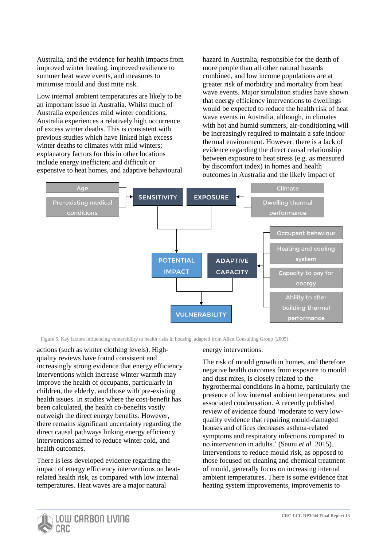Australia, and the evidence for health impacts from improved winter heating, improved resilience to summer heat wave events, and measures to minimise mould and dust mite risk.

Low internal ambient temperatures are likely to be an important issue in Australia. Whilst much of Australia experiences mild winter conditions, Australia experiences a relatively high occurrence of excess winter deaths. This is consistent with previous studies which have linked high excess winter deaths to climates with mild winters; explanatory factors for this in other locations include energy inefficient and difficult or expensive to heat homes, and adaptive behavioural hazard in Australia, responsible for the death of more people than all other natural hazards combined, and low income populations are at greater risk of morbidity and mortality from heat wave events. Major simulation studies have shown that energy efficiency interventions to dwellings would be expected to reduce the health risk of heat wave events in Australia, although, in climates with hot and humid summers, air-conditioning will be increasingly required to maintain a safe indoor thermal environment. However, there is a lack of evidence regarding the direct causal relationship between exposure to heat stress (e.g. as measured by discomfort index) in homes and health outcomes in Australia and the likely impact of



<span id="page-12-0"></span>Figure 5. Key factors influencing vulnerability to health risks in housing, adapted from Allen Consulting Group (2005).

actions (such as winter clothing levels). Highquality reviews have found consistent and increasingly strong evidence that energy efficiency interventions which increase winter warmth may improve the health of occupants, particularly in children, the elderly, and those with pre-existing health issues. In studies where the cost-benefit has been calculated, the health co-benefits vastly outweigh the direct energy benefits. However, there remains significant uncertainty regarding the direct causal pathways linking energy efficiency interventions aimed to reduce winter cold, and health outcomes.

There is less developed evidence regarding the impact of energy efficiency interventions on heatrelated health risk, as compared with low internal temperatures. Heat waves are a major natural

energy interventions.

The risk of mould growth in homes, and therefore negative health outcomes from exposure to mould and dust mites, is closely related to the hygrothermal conditions in a home, particularly the presence of low internal ambient temperatures, and associated condensation. A recently published review of evidence found 'moderate to very lowquality evidence that repairing mould-damaged houses and offices decreases asthma-related symptoms and respiratory infections compared to no intervention in adults.' (Sauni *et al.* 2015). Interventions to reduce mould risk, as opposed to those focused on cleaning and chemical treatment of mould, generally focus on increasing internal ambient temperatures. There is some evidence that heating system improvements, improvements to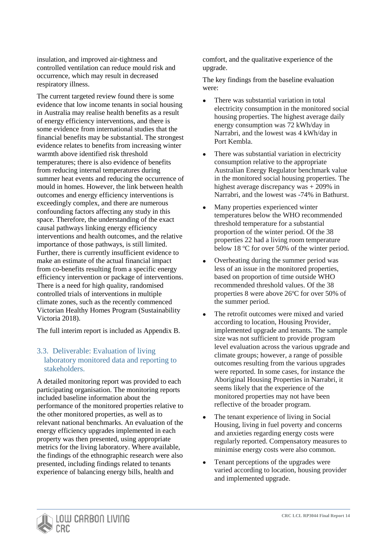insulation, and improved air-tightness and controlled ventilation can reduce mould risk and occurrence, which may result in decreased respiratory illness.

The current targeted review found there is some evidence that low income tenants in social housing in Australia may realise health benefits as a result of energy efficiency interventions, and there is some evidence from international studies that the financial benefits may be substantial. The strongest evidence relates to benefits from increasing winter warmth above identified risk threshold temperatures; there is also evidence of benefits from reducing internal temperatures during summer heat events and reducing the occurrence of mould in homes. However, the link between health outcomes and energy efficiency interventions is exceedingly complex, and there are numerous confounding factors affecting any study in this space. Therefore, the understanding of the exact causal pathways linking energy efficiency interventions and health outcomes, and the relative importance of those pathways, is still limited. Further, there is currently insufficient evidence to make an estimate of the actual financial impact from co-benefits resulting from a specific energy efficiency intervention or package of interventions. There is a need for high quality, randomised controlled trials of interventions in multiple climate zones, such as the recently commenced Victorian Healthy Homes Program (Sustainability Victoria 2018).

The full interim report is included as Appendix B.

## 3.3. Deliverable: Evaluation of living laboratory monitored data and reporting to stakeholders.

A detailed monitoring report was provided to each participating organisation. The monitoring reports included baseline information about the performance of the monitored properties relative to the other monitored properties, as well as to relevant national benchmarks. An evaluation of the energy efficiency upgrades implemented in each property was then presented, using appropriate metrics for the living laboratory. Where available, the findings of the ethnographic research were also presented, including findings related to tenants experience of balancing energy bills, health and

comfort, and the qualitative experience of the upgrade.

The key findings from the baseline evaluation were:

- There was substantial variation in total electricity consumption in the monitored social housing properties. The highest average daily energy consumption was 72 kWh/day in Narrabri, and the lowest was 4 kWh/day in Port Kembla.
- There was substantial variation in electricity consumption relative to the appropriate Australian Energy Regulator benchmark value in the monitored social housing properties. The highest average discrepancy was + 209% in Narrabri, and the lowest was -74% in Bathurst.
- Many properties experienced winter temperatures below the WHO recommended threshold temperature for a substantial proportion of the winter period. Of the 38 properties 22 had a living room temperature below 18  $\degree$ C for over 50% of the winter period.
- Overheating during the summer period was less of an issue in the monitored properties, based on proportion of time outside WHO recommended threshold values. Of the 38 properties 8 were above  $26^{\circ}$ C for over 50% of the summer period.
- The retrofit outcomes were mixed and varied according to location, Housing Provider, implemented upgrade and tenants. The sample size was not sufficient to provide program level evaluation across the various upgrade and climate groups; however, a range of possible outcomes resulting from the various upgrades were reported. In some cases, for instance the Aboriginal Housing Properties in Narrabri, it seems likely that the experience of the monitored properties may not have been reflective of the broader program.
- The tenant experience of living in Social Housing, living in fuel poverty and concerns and anxieties regarding energy costs were regularly reported. Compensatory measures to minimise energy costs were also common.
- Tenant perceptions of the upgrades were varied according to location, housing provider and implemented upgrade.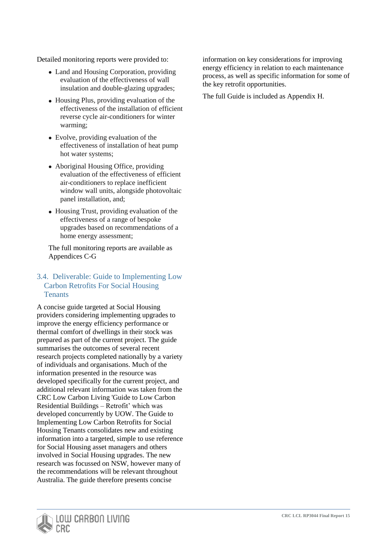Detailed monitoring reports were provided to:

- Land and Housing Corporation, providing evaluation of the effectiveness of wall insulation and double-glazing upgrades;
- Housing Plus, providing evaluation of the effectiveness of the installation of efficient reverse cycle air-conditioners for winter warming;
- Evolve, providing evaluation of the effectiveness of installation of heat pump hot water systems;
- Aboriginal Housing Office, providing evaluation of the effectiveness of efficient air-conditioners to replace inefficient window wall units, alongside photovoltaic panel installation, and;
- Housing Trust, providing evaluation of the effectiveness of a range of bespoke upgrades based on recommendations of a home energy assessment;

The full monitoring reports are available as Appendices C-G

## 3.4. Deliverable: Guide to Implementing Low Carbon Retrofits For Social Housing **Tenants**

A concise guide targeted at Social Housing providers considering implementing upgrades to improve the energy efficiency performance or thermal comfort of dwellings in their stock was prepared as part of the current project. The guide summarises the outcomes of several recent research projects completed nationally by a variety of individuals and organisations. Much of the information presented in the resource was developed specifically for the current project, and additional relevant information was taken from the CRC Low Carbon Living 'Guide to Low Carbon Residential Buildings – Retrofit' which was developed concurrently by UOW. The Guide to Implementing Low Carbon Retrofits for Social Housing Tenants consolidates new and existing information into a targeted, simple to use reference for Social Housing asset managers and others involved in Social Housing upgrades. The new research was focussed on NSW, however many of the recommendations will be relevant throughout Australia. The guide therefore presents concise

information on key considerations for improving energy efficiency in relation to each maintenance process, as well as specific information for some of the key retrofit opportunities.

The full Guide is included as Appendix H.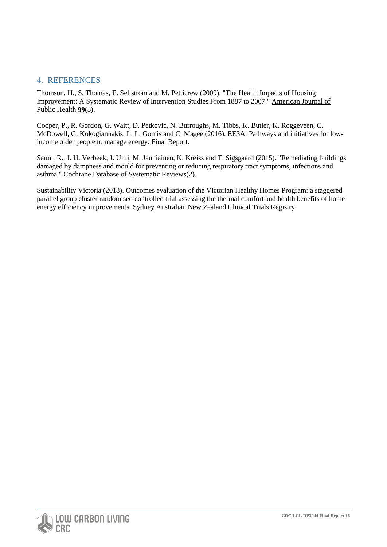# 4. REFERENCES

Thomson, H., S. Thomas, E. Sellstrom and M. Petticrew (2009). "The Health Impacts of Housing Improvement: A Systematic Review of Intervention Studies From 1887 to 2007." American Journal of Public Health **99**(3).

Cooper, P., R. Gordon, G. Waitt, D. Petkovic, N. Burroughs, M. Tibbs, K. Butler, K. Roggeveen, C. McDowell, G. Kokogiannakis, L. L. Gomis and C. Magee (2016). EE3A: Pathways and initiatives for lowincome older people to manage energy: Final Report.

Sauni, R., J. H. Verbeek, J. Uitti, M. Jauhiainen, K. Kreiss and T. Sigsgaard (2015). "Remediating buildings damaged by dampness and mould for preventing or reducing respiratory tract symptoms, infections and asthma." Cochrane Database of Systematic Reviews(2).

Sustainability Victoria (2018). Outcomes evaluation of the Victorian Healthy Homes Program: a staggered parallel group cluster randomised controlled trial assessing the thermal comfort and health benefits of home energy efficiency improvements. Sydney Australian New Zealand Clinical Trials Registry.